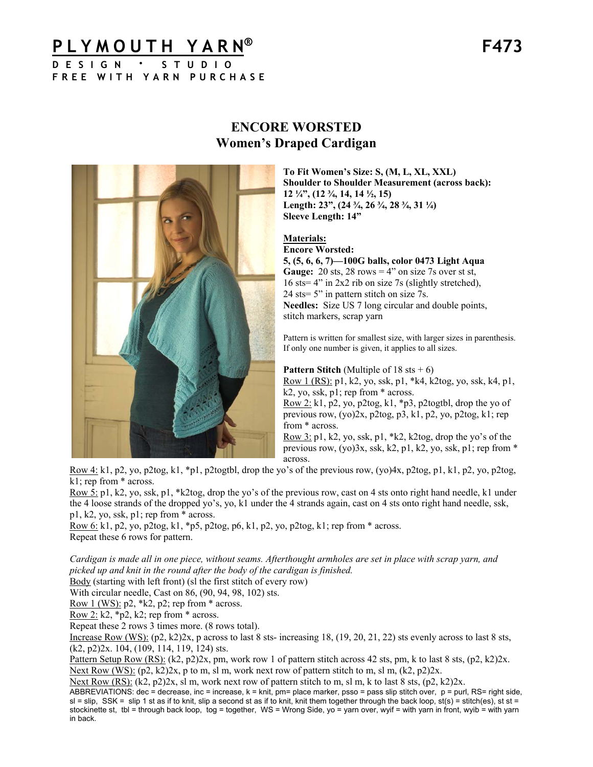# **PLYMOUTH YARN® F473**

**DESIGN · STUDIO FREE WITH YARN PURCHASE**



## **ENCORE WORSTED Women's Draped Cardigan**

**To Fit Women's Size: S, (M, L, XL, XXL) Shoulder to Shoulder Measurement (across back): 12 ¼", (12 ¾, 14, 14 ½, 15) Length: 23", (24 ¾, 26 ¾, 28 ¾, 31 ¼) Sleeve Length: 14"** 

#### **Materials: Encore Worsted:**

**5, (5, 6, 6, 7)—100G balls, color 0473 Light Aqua Gauge:**  $20$  sts,  $28$  rows  $= 4$ " on size 7s over st st, 16 sts= 4" in 2x2 rib on size 7s (slightly stretched), 24 sts= 5" in pattern stitch on size 7s. **Needles:** Size US 7 long circular and double points, stitch markers, scrap yarn

Pattern is written for smallest size, with larger sizes in parenthesis. If only one number is given, it applies to all sizes.

**Pattern Stitch** (Multiple of  $18$  sts  $+ 6$ )

Row 1 (RS): p1, k2, yo, ssk, p1, \*k4, k2tog, yo, ssk, k4, p1, k2, yo, ssk, p1; rep from \* across.

Row 2: k1, p2, yo, p2tog, k1, \*p3, p2togtbl, drop the yo of previous row, (yo)2x, p2tog, p3, k1, p2, yo, p2tog, k1; rep from \* across.

Row 3: p1, k2, yo, ssk, p1, \*k2, k2tog, drop the yo's of the previous row, (yo)3x, ssk, k2, p1, k2, yo, ssk, p1; rep from \* across.

Row 4: k1, p2, yo, p2tog, k1, \*p1, p2togtbl, drop the yo's of the previous row, (yo)4x, p2tog, p1, k1, p2, yo, p2tog, k1; rep from \* across.

Row 5: p1, k2, yo, ssk, p1, \*k2tog, drop the yo's of the previous row, cast on 4 sts onto right hand needle, k1 under the 4 loose strands of the dropped yo's, yo, k1 under the 4 strands again, cast on 4 sts onto right hand needle, ssk, p1, k2, yo, ssk, p1; rep from \* across.

Row 6: k1, p2, yo, p2tog, k1, \*p5, p2tog, p6, k1, p2, yo, p2tog, k1; rep from \* across. Repeat these 6 rows for pattern.

*Cardigan is made all in one piece, without seams. Afterthought armholes are set in place with scrap yarn, and picked up and knit in the round after the body of the cardigan is finished.* 

Body (starting with left front) (sl the first stitch of every row)

With circular needle, Cast on 86, (90, 94, 98, 102) sts.

Row 1 (WS):  $p2$ ,  $*k2$ ,  $p2$ ; rep from  $*$  across.

Row  $2: k2$ , \*p2, k2; rep from \* across.

Repeat these 2 rows 3 times more. (8 rows total).

Increase Row (WS):  $(p2, k2)$ 2x, p across to last 8 sts- increasing 18,  $(19, 20, 21, 22)$  sts evenly across to last 8 sts, (k2, p2)2x. 104, (109, 114, 119, 124) sts.

Pattern Setup Row (RS): (k2, p2)2x, pm, work row 1 of pattern stitch across 42 sts, pm, k to last 8 sts, (p2, k2)2x. Next Row (WS):  $(p2, k2)2x$ , p to m, sl m, work next row of pattern stitch to m, sl m,  $(k2, p2)2x$ .

Next Row (RS):  $(k2, p2)2x$ , sl m, work next row of pattern stitch to m, sl m, k to last 8 sts,  $(p2, k2)2x$ .

ABBREVIATIONS: dec = decrease, inc = increase,  $k = k$ nit, pm= place marker, psso = pass slip stitch over, p = purl, RS= right side,  $s$ l = slip, SSK = slip 1 st as if to knit, slip a second st as if to knit, knit them together through the back loop, st(s) = stitch(es), st st = stockinette st, tbl = through back loop, tog = together, WS = Wrong Side, yo = yarn over, wyif = with yarn in front, wyib = with yarn in back.